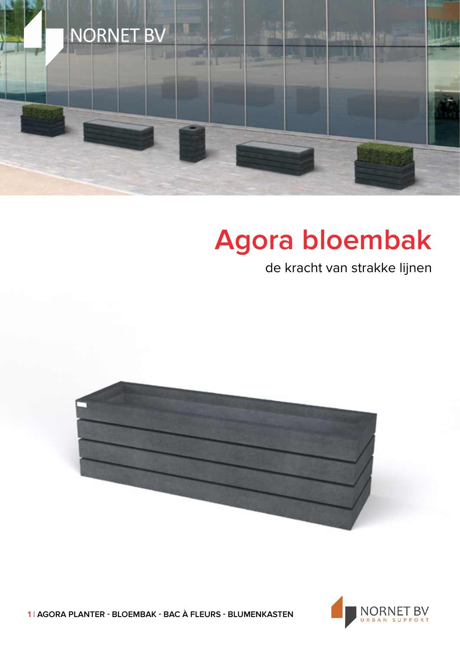

## **Agora bloembak**

de kracht van strakke lijnen





**1 | AGORA PLANTER - BLOEMBAK - BAC À FLEURS - BLUMENKASTEN**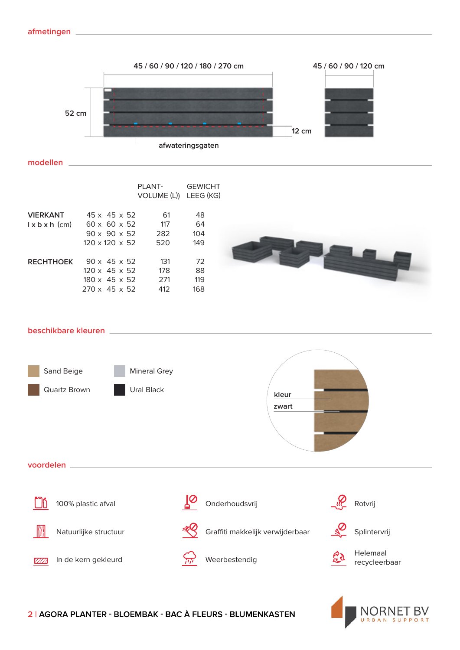